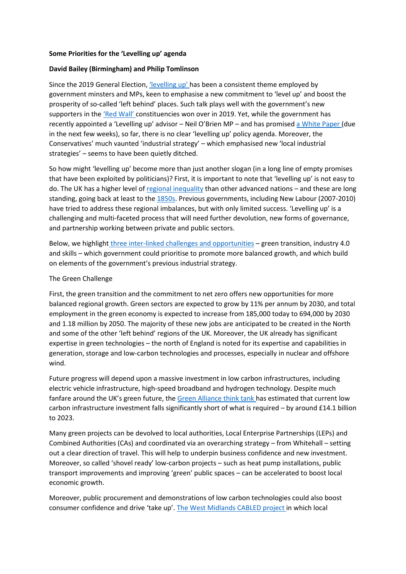## **Some Priorities for the 'Levelling up' agenda**

## **David Bailey (Birmingham) and Philip Tomlinson**

Since the 2019 General Election, *['levelling up'](https://onlinelibrary.wiley.com/doi/full/10.1111/1467-923X.12834)* has been a consistent theme employed by government minsters and MPs, keen to emphasise a new commitment to 'level up' and boost the prosperity of so-called 'left behind' places. Such talk plays well with the government's new supporters in the ['Red Wall'](https://en.wikipedia.org/wiki/Red_wall_(British_politics)) constituencies won over in 2019. Yet, while the government has recently appointed a 'Levelling up' advisor – Neil O'Brien MP – and has promised [a White Paper](https://www.gov.uk/government/news/government-to-publish-levelling-up-white-paper) (due in the next few weeks), so far, there is no clear 'levelling up' policy agenda. Moreover, the Conservatives' much vaunted 'industrial strategy' – which emphasised new 'local industrial strategies' – seems to have been quietly ditched.

So how might 'levelling up' become more than just another slogan (in a long line of empty promises that have been exploited by politicians)? First, it is important to note that 'levelling up' is not easy to do. The UK has a higher level of [regional inequality](https://www.sheffield.ac.uk/news/nr/uk-higher-regional-inequality-large-wealthy-country-1.862262) than other advanced nations – and these are long standing, going back at least to the 1850s. Previous governments, including New Labour (2007-2010) have tried to address these regional imbalances, but with only limited success. 'Levelling up' is a challenging and multi-faceted process that will need further devolution, new forms of governance, and partnership working between private and public sectors.

Below, we highlight [three inter-linked challenges and opportunities](https://ukandeu.ac.uk/wp-content/uploads/2021/01/Brexit-and-Beyond-report-compressed.pdf) – green transition, industry 4.0 and skills – which government could prioritise to promote more balanced growth, and which build on elements of the government's previous industrial strategy.

## The Green Challenge

First, the green transition and the commitment to net zero offers new opportunities for more balanced regional growth. Green sectors are expected to grow by 11% per annum by 2030, and total employment in the green economy is expected to increase from 185,000 today to 694,000 by 2030 and 1.18 million by 2050. The majority of these new jobs are anticipated to be created in the North and some of the other 'left behind' regions of the UK. Moreover, the UK already has significant expertise in green technologies – the north of England is noted for its expertise and capabilities in generation, storage and low-carbon technologies and processes, especially in nuclear and offshore wind.

Future progress will depend upon a massive investment in low carbon infrastructures, including electric vehicle infrastructure, high-speed broadband and hydrogen technology. Despite much fanfare around the UK's green future, the [Green Alliance think tank](https://green-alliance.org.uk/resources/Getting_the_building_blocks_right.pdf) has estimated that current low carbon infrastructure investment falls significantly short of what is required – by around £14.1 billion to 2023.

Many green projects can be devolved to local authorities, Local Enterprise Partnerships (LEPs) and Combined Authorities (CAs) and coordinated via an overarching strategy – from Whitehall – setting out a clear direction of travel. This will help to underpin business confidence and new investment. Moreover, so called 'shovel ready' low-carbon projects – such as heat pump installations, public transport improvements and improving 'green' public spaces – can be accelerated to boost local economic growth.

Moreover, public procurement and demonstrations of low carbon technologies could also boost consumer confidence and drive 'take up'. [The West Midlands CABLED project](https://www.sustainabilitywestmidlands.org.uk/resources/cabled/) in which local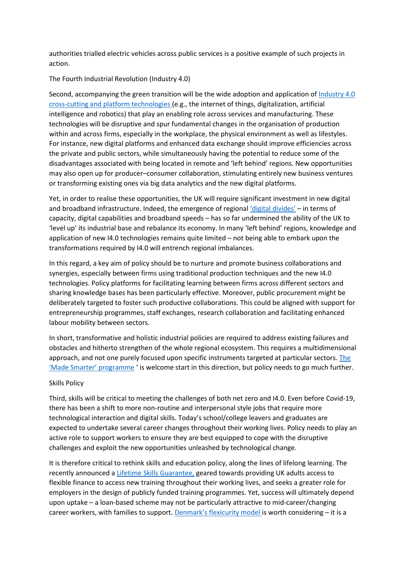authorities trialled electric vehicles across public services is a positive example of such projects in action.

The Fourth Industrial Revolution (Industry 4.0)

Second, accompanying the green transition will be the wide adoption and application of [Industry 4.0](https://www.forbes.com/sites/bernardmarr/2018/09/02/what-is-industry-4-0-heres-a-super-easy-explanation-for-anyone/?sh=50d480f09788)  [cross-cutting and platform technologies](https://www.forbes.com/sites/bernardmarr/2018/09/02/what-is-industry-4-0-heres-a-super-easy-explanation-for-anyone/?sh=50d480f09788) (e.g., the internet of things, digitalization, artificial intelligence and robotics) that play an enabling role across services and manufacturing. These technologies will be disruptive and spur fundamental changes in the organisation of production within and across firms, especially in the workplace, the physical environment as well as lifestyles. For instance, new digital platforms and enhanced data exchange should improve efficiencies across the private and public sectors, while simultaneously having the potential to reduce some of the disadvantages associated with being located in remote and 'left behind' regions. New opportunities may also open up for producer–consumer collaboration, stimulating entirely new business ventures or transforming existing ones via big data analytics and the new digital platforms.

Yet, in order to realise these opportunities, the UK will require significant investment in new digital and broadband infrastructure. Indeed, the emergence of regional ['digital divides'](https://doi.org/10.1080/2578711X.2019.1621102) - in terms of capacity, digital capabilities and broadband speeds – has so far undermined the ability of the UK to 'level up' its industrial base and rebalance its economy. In many 'left behind' regions, knowledge and application of new I4.0 technologies remains quite limited – not being able to embark upon the transformations required by I4.0 will entrench regional imbalances.

In this regard, a key aim of policy should be to nurture and promote business collaborations and synergies, especially between firms using traditional production techniques and the new I4.0 technologies. Policy platforms for facilitating learning between firms across different sectors and sharing knowledge bases has been particularly effective. Moreover, public procurement might be deliberately targeted to foster such productive collaborations. This could be aligned with support for entrepreneurship programmes, staff exchanges, research collaboration and facilitating enhanced labour mobility between sectors.

In short, transformative and holistic industrial policies are required to address existing failures and obstacles and hitherto strengthen of the whole regional ecosystem. This requires a multidimensional approach, and not one purely focused upon specific instruments targeted at particular sectors. [The](https://www.birmingham.ac.uk/research/perspective/industry-4-and-what-to-expect-for-industry-policy.aspx)  ['Made Smarter' programme](https://www.birmingham.ac.uk/research/perspective/industry-4-and-what-to-expect-for-industry-policy.aspx) ' is welcome start in this direction, but policy needs to go much further.

## Skills Policy

Third, skills will be critical to meeting the challenges of both net zero and I4.0. Even before Covid-19, there has been a shift to more non-routine and interpersonal style jobs that require more technological interaction and digital skills. Today's school/college leavers and graduates are expected to undertake several career changes throughout their working lives. Policy needs to play an active role to support workers to ensure they are best equipped to cope with the disruptive challenges and exploit the new opportunities unleashed by technological change.

It is therefore critical to rethink skills and education policy, along the lines of lifelong learning. The recently announced a [Lifetime Skills Guarantee,](https://www.fenews.co.uk/fevoices/3716-ueenas-speech-outlines-legislative-programme-for-next-session) geared towards providing UK adults access to flexible finance to access new training throughout their working lives, and seeks a greater role for employers in the design of publicly funded training programmes. Yet, success will ultimately depend upon uptake – a loan-based scheme may not be particularly attractive to mid-career/changing career workers, with families to support. [Denmark's flexicurity model](https://denmark.dk/society-and-business/the-danish-labour-market) is worth considering – it is a